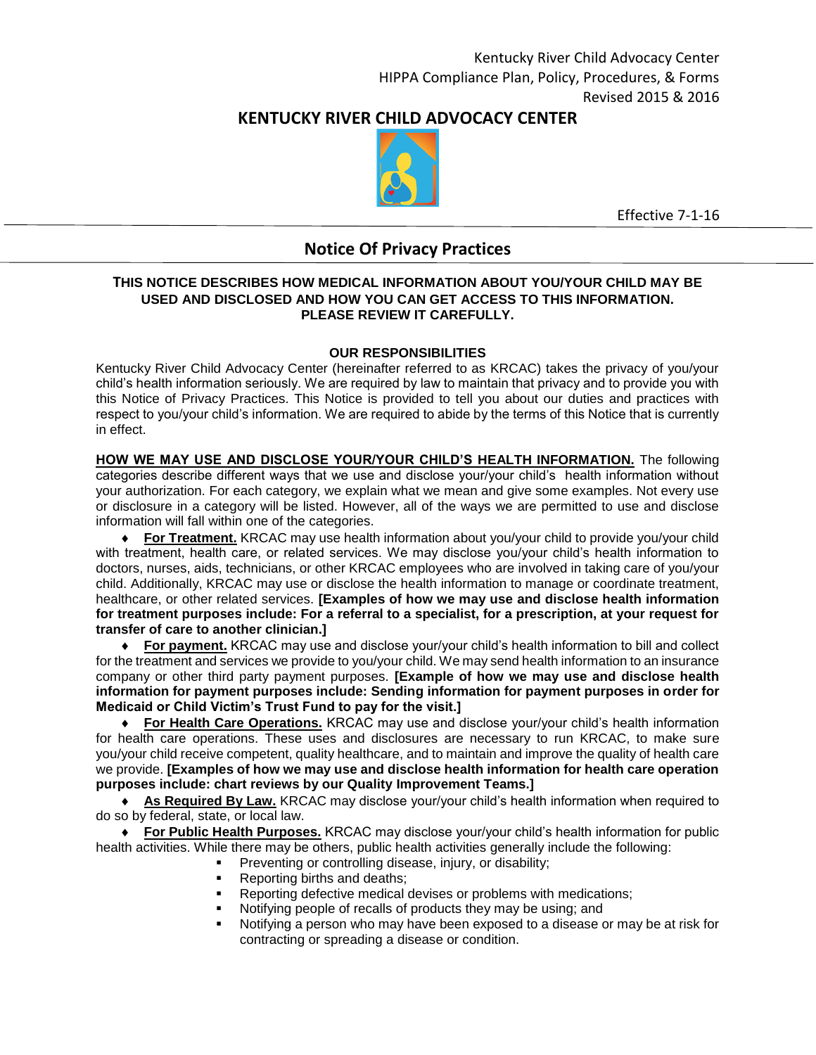# **KENTUCKY RIVER CHILD ADVOCACY CENTER**



Effective 7-1-16

# **Notice Of Privacy Practices**

#### **THIS NOTICE DESCRIBES HOW MEDICAL INFORMATION ABOUT YOU/YOUR CHILD MAY BE USED AND DISCLOSED AND HOW YOU CAN GET ACCESS TO THIS INFORMATION. PLEASE REVIEW IT CAREFULLY.**

## **OUR RESPONSIBILITIES**

Kentucky River Child Advocacy Center (hereinafter referred to as KRCAC) takes the privacy of you/your child's health information seriously. We are required by law to maintain that privacy and to provide you with this Notice of Privacy Practices. This Notice is provided to tell you about our duties and practices with respect to you/your child's information. We are required to abide by the terms of this Notice that is currently in effect.

**HOW WE MAY USE AND DISCLOSE YOUR/YOUR CHILD'S HEALTH INFORMATION.** The following categories describe different ways that we use and disclose your/your child's health information without your authorization. For each category, we explain what we mean and give some examples. Not every use or disclosure in a category will be listed. However, all of the ways we are permitted to use and disclose information will fall within one of the categories.

 **For Treatment.** KRCAC may use health information about you/your child to provide you/your child with treatment, health care, or related services. We may disclose you/your child's health information to doctors, nurses, aids, technicians, or other KRCAC employees who are involved in taking care of you/your child. Additionally, KRCAC may use or disclose the health information to manage or coordinate treatment, healthcare, or other related services. **[Examples of how we may use and disclose health information for treatment purposes include: For a referral to a specialist, for a prescription, at your request for transfer of care to another clinician.]**

 **For payment.** KRCAC may use and disclose your/your child's health information to bill and collect for the treatment and services we provide to you/your child. We may send health information to an insurance company or other third party payment purposes. **[Example of how we may use and disclose health information for payment purposes include: Sending information for payment purposes in order for Medicaid or Child Victim's Trust Fund to pay for the visit.]**

 **For Health Care Operations.** KRCAC may use and disclose your/your child's health information for health care operations. These uses and disclosures are necessary to run KRCAC, to make sure you/your child receive competent, quality healthcare, and to maintain and improve the quality of health care we provide. **[Examples of how we may use and disclose health information for health care operation purposes include: chart reviews by our Quality Improvement Teams.]**

 **As Required By Law.** KRCAC may disclose your/your child's health information when required to do so by federal, state, or local law.

 **For Public Health Purposes.** KRCAC may disclose your/your child's health information for public health activities. While there may be others, public health activities generally include the following:

- Preventing or controlling disease, injury, or disability;
- Reporting births and deaths;
- Reporting defective medical devises or problems with medications;
- Notifying people of recalls of products they may be using; and
- Notifying a person who may have been exposed to a disease or may be at risk for contracting or spreading a disease or condition.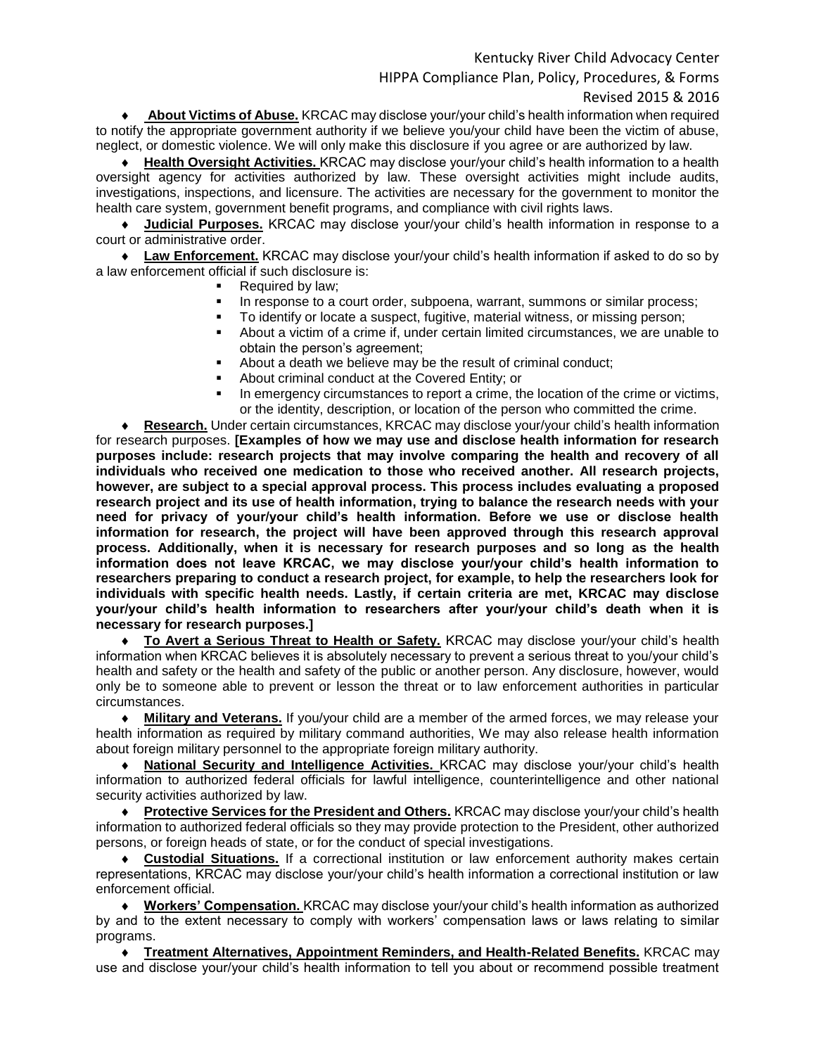# Kentucky River Child Advocacy Center HIPPA Compliance Plan, Policy, Procedures, & Forms Revised 2015 & 2016

 **About Victims of Abuse.** KRCAC may disclose your/your child's health information when required to notify the appropriate government authority if we believe you/your child have been the victim of abuse, neglect, or domestic violence. We will only make this disclosure if you agree or are authorized by law.

 **Health Oversight Activities.** KRCAC may disclose your/your child's health information to a health oversight agency for activities authorized by law. These oversight activities might include audits, investigations, inspections, and licensure. The activities are necessary for the government to monitor the health care system, government benefit programs, and compliance with civil rights laws.

 **Judicial Purposes.** KRCAC may disclose your/your child's health information in response to a court or administrative order.

 **Law Enforcement.** KRCAC may disclose your/your child's health information if asked to do so by a law enforcement official if such disclosure is:

- Required by law;
- In response to a court order, subpoena, warrant, summons or similar process;
- To identify or locate a suspect, fugitive, material witness, or missing person;
- About a victim of a crime if, under certain limited circumstances, we are unable to obtain the person's agreement;
- About a death we believe may be the result of criminal conduct:
- About criminal conduct at the Covered Entity; or
- In emergency circumstances to report a crime, the location of the crime or victims, or the identity, description, or location of the person who committed the crime.

 **Research.** Under certain circumstances, KRCAC may disclose your/your child's health information for research purposes. **[Examples of how we may use and disclose health information for research purposes include: research projects that may involve comparing the health and recovery of all individuals who received one medication to those who received another. All research projects, however, are subject to a special approval process. This process includes evaluating a proposed research project and its use of health information, trying to balance the research needs with your need for privacy of your/your child's health information. Before we use or disclose health information for research, the project will have been approved through this research approval process. Additionally, when it is necessary for research purposes and so long as the health information does not leave KRCAC, we may disclose your/your child's health information to researchers preparing to conduct a research project, for example, to help the researchers look for individuals with specific health needs. Lastly, if certain criteria are met, KRCAC may disclose your/your child's health information to researchers after your/your child's death when it is necessary for research purposes.]**

 **To Avert a Serious Threat to Health or Safety.** KRCAC may disclose your/your child's health information when KRCAC believes it is absolutely necessary to prevent a serious threat to you/your child's health and safety or the health and safety of the public or another person. Any disclosure, however, would only be to someone able to prevent or lesson the threat or to law enforcement authorities in particular circumstances.

 **Military and Veterans.** If you/your child are a member of the armed forces, we may release your health information as required by military command authorities, We may also release health information about foreign military personnel to the appropriate foreign military authority.

 **National Security and Intelligence Activities.** KRCAC may disclose your/your child's health information to authorized federal officials for lawful intelligence, counterintelligence and other national security activities authorized by law.

 **Protective Services for the President and Others.** KRCAC may disclose your/your child's health information to authorized federal officials so they may provide protection to the President, other authorized persons, or foreign heads of state, or for the conduct of special investigations.

 **Custodial Situations.** If a correctional institution or law enforcement authority makes certain representations, KRCAC may disclose your/your child's health information a correctional institution or law enforcement official.

 **Workers' Compensation.** KRCAC may disclose your/your child's health information as authorized by and to the extent necessary to comply with workers' compensation laws or laws relating to similar programs.

 **Treatment Alternatives, Appointment Reminders, and Health-Related Benefits.** KRCAC may use and disclose your/your child's health information to tell you about or recommend possible treatment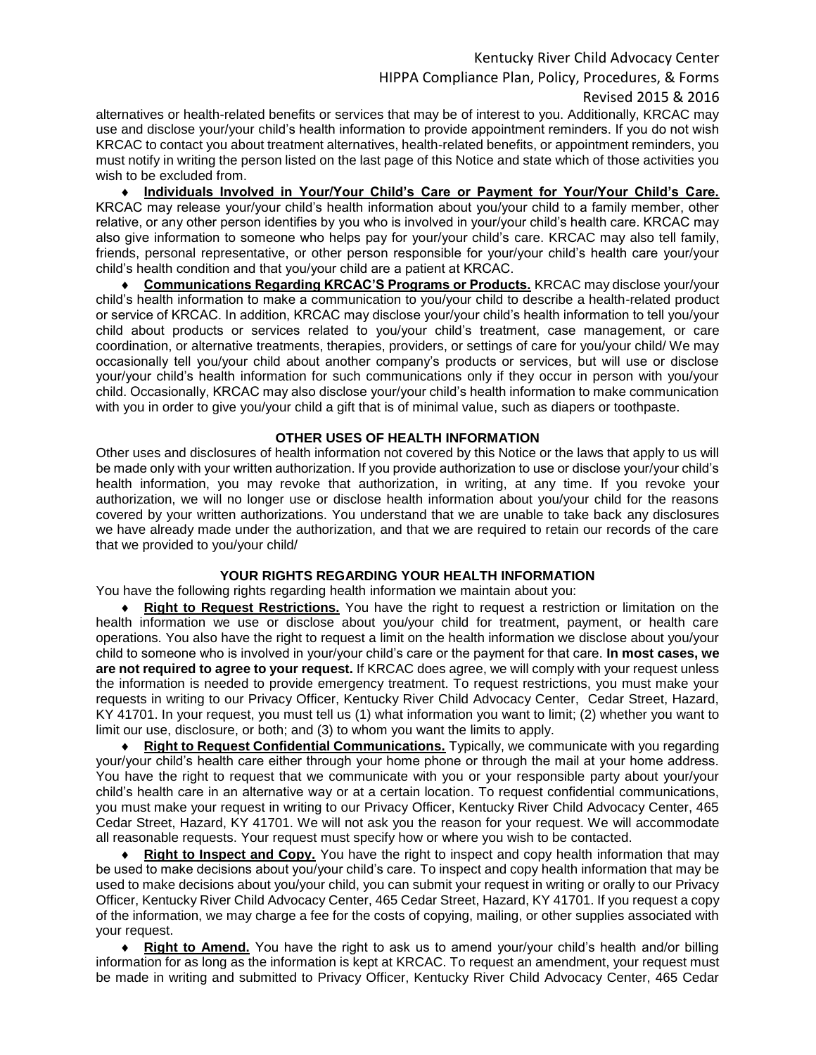# Kentucky River Child Advocacy Center HIPPA Compliance Plan, Policy, Procedures, & Forms Revised 2015 & 2016

alternatives or health-related benefits or services that may be of interest to you. Additionally, KRCAC may use and disclose your/your child's health information to provide appointment reminders. If you do not wish KRCAC to contact you about treatment alternatives, health-related benefits, or appointment reminders, you must notify in writing the person listed on the last page of this Notice and state which of those activities you wish to be excluded from.

 **Individuals Involved in Your/Your Child's Care or Payment for Your/Your Child's Care.** KRCAC may release your/your child's health information about you/your child to a family member, other relative, or any other person identifies by you who is involved in your/your child's health care. KRCAC may also give information to someone who helps pay for your/your child's care. KRCAC may also tell family, friends, personal representative, or other person responsible for your/your child's health care your/your child's health condition and that you/your child are a patient at KRCAC.

 **Communications Regarding KRCAC'S Programs or Products.** KRCAC may disclose your/your child's health information to make a communication to you/your child to describe a health-related product or service of KRCAC. In addition, KRCAC may disclose your/your child's health information to tell you/your child about products or services related to you/your child's treatment, case management, or care coordination, or alternative treatments, therapies, providers, or settings of care for you/your child/ We may occasionally tell you/your child about another company's products or services, but will use or disclose your/your child's health information for such communications only if they occur in person with you/your child. Occasionally, KRCAC may also disclose your/your child's health information to make communication with you in order to give you/your child a gift that is of minimal value, such as diapers or toothpaste.

#### **OTHER USES OF HEALTH INFORMATION**

Other uses and disclosures of health information not covered by this Notice or the laws that apply to us will be made only with your written authorization. If you provide authorization to use or disclose your/your child's health information, you may revoke that authorization, in writing, at any time. If you revoke your authorization, we will no longer use or disclose health information about you/your child for the reasons covered by your written authorizations. You understand that we are unable to take back any disclosures we have already made under the authorization, and that we are required to retain our records of the care that we provided to you/your child/

### **YOUR RIGHTS REGARDING YOUR HEALTH INFORMATION**

You have the following rights regarding health information we maintain about you:

 **Right to Request Restrictions.** You have the right to request a restriction or limitation on the health information we use or disclose about you/your child for treatment, payment, or health care operations. You also have the right to request a limit on the health information we disclose about you/your child to someone who is involved in your/your child's care or the payment for that care. **In most cases, we are not required to agree to your request.** If KRCAC does agree, we will comply with your request unless the information is needed to provide emergency treatment. To request restrictions, you must make your requests in writing to our Privacy Officer, Kentucky River Child Advocacy Center, Cedar Street, Hazard, KY 41701. In your request, you must tell us (1) what information you want to limit; (2) whether you want to limit our use, disclosure, or both; and (3) to whom you want the limits to apply.

 **Right to Request Confidential Communications.** Typically, we communicate with you regarding your/your child's health care either through your home phone or through the mail at your home address. You have the right to request that we communicate with you or your responsible party about your/your child's health care in an alternative way or at a certain location. To request confidential communications, you must make your request in writing to our Privacy Officer, Kentucky River Child Advocacy Center, 465 Cedar Street, Hazard, KY 41701. We will not ask you the reason for your request. We will accommodate all reasonable requests. Your request must specify how or where you wish to be contacted.

 **Right to Inspect and Copy.** You have the right to inspect and copy health information that may be used to make decisions about you/your child's care. To inspect and copy health information that may be used to make decisions about you/your child, you can submit your request in writing or orally to our Privacy Officer, Kentucky River Child Advocacy Center, 465 Cedar Street, Hazard, KY 41701. If you request a copy of the information, we may charge a fee for the costs of copying, mailing, or other supplies associated with your request.

 **Right to Amend.** You have the right to ask us to amend your/your child's health and/or billing information for as long as the information is kept at KRCAC. To request an amendment, your request must be made in writing and submitted to Privacy Officer, Kentucky River Child Advocacy Center, 465 Cedar